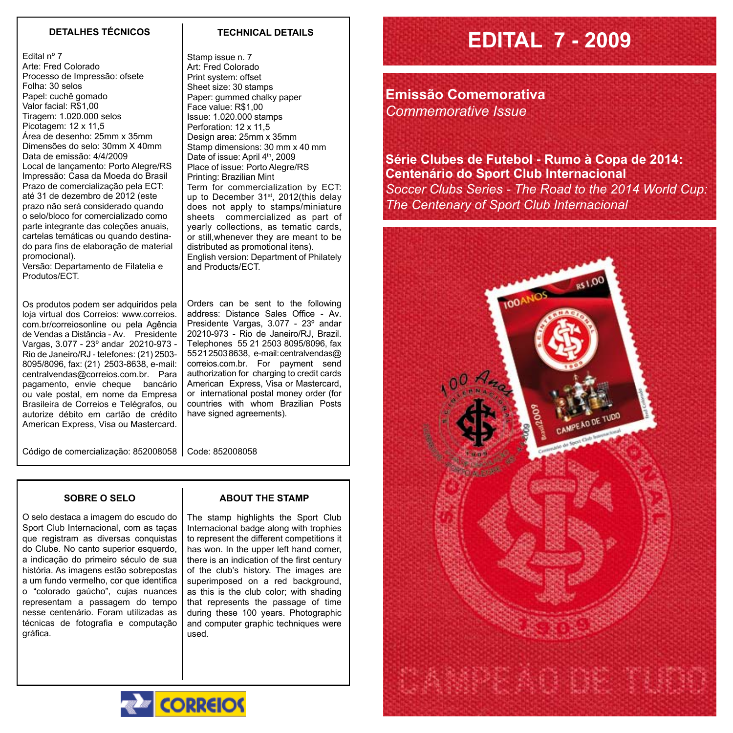## **DETALHES TÉCNICOS TECHNICAL DETAILS**

Edital nº 7 Arte: Fred Colorado Processo de Impressão: ofsete Folha: 30 selos Papel: cuchê gomado Valor facial: R\$1,00 Tiragem: 1.020.000 selos Picotagem: 12 x 11,5 Área de desenho: 25mm x 35mm Dimensões do selo: 30mm X 40mm Data de emissão: 4/4/2009 Local de lançamento: Porto Alegre/RS Impressão: Casa da Moeda do Brasil Prazo de comercialização pela ECT: até 31 de dezembro de 2012 (este prazo não será considerado quando o selo/bloco for comercializado como parte integrante das coleções anuais, cartelas temáticas ou quando destinado para fins de elaboração de material promocional).

Versão: Departamento de Filatelia e Produtos/ECT.

Os produtos podem ser adquiridos pela loja virtual dos Correios: www.correios. com.br/correiosonline ou pela Agência de Vendas a Distância - Av. Presidente Vargas, 3.077 - 23º andar 20210-973 - Rio de Janeiro/RJ - telefones: (21) 2503- 8095/8096, fax: (21) 2503-8638, e-mail: centralvendas@correios.com.br. Para pagamento, envie cheque bancário ou vale postal, em nome da Empresa Brasileira de Correios e Telégrafos, ou autorize débito em cartão de crédito American Express, Visa ou Mastercard.

Stamp issue n. 7 Art: Fred Colorado Print system: offset Sheet size: 30 stamps Paper: gummed chalky paper Face value: R\$1,00 Issue: 1.020.000 stamps Perforation: 12 x 11,5

Design area: 25mm x 35mm Stamp dimensions: 30 mm x 40 mm Date of issue: April 4<sup>th</sup>, 2009 Place of issue: Porto Alegre/RS Printing: Brazilian Mint Term for commercialization by ECT: up to December 31<sup>st</sup>, 2012(this delay does not apply to stamps/miniature sheets commercialized as part of yearly collections, as tematic cards, or still,whenever they are meant to be distributed as promotional itens). English version: Department of Philately and Products/ECT.

Orders can be sent to the following address: Distance Sales Office - Av. Presidente Vargas, 3.077 - 23º andar 20210-973 - Rio de Janeiro/RJ, Brazil. Telephones 55 21 2503 8095/8096, fax 55 21 2503 8638, e-mail: centralvendas@ correios.com.br. For payment send authorization for charging to credit cards American Express, Visa or Mastercard, or international postal money order (for countries with whom Brazilian Posts have signed agreements).

Código de comercialização: 852008058 Code: 852008058

## **Sobre o Selo**

O selo destaca a imagem do escudo do Sport Club Internacional, com as taças que registram as diversas conquistas do Clube. No canto superior esquerdo, a indicação do primeiro século de sua história. As imagens estão sobrepostas a um fundo vermelho, cor que identifica o "colorado gaúcho", cujas nuances representam a passagem do tempo nesse centenário. Foram utilizadas as técnicas de fotografia e computação gráfica.

## **ABOUT THE STAMP**

The stamp highlights the Sport Club Internacional badge along with trophies to represent the different competitions it has won. In the upper left hand corner, there is an indication of the first century of the club's history. The images are superimposed on a red background, as this is the club color; with shading that represents the passage of time during these 100 years. Photographic and computer graphic techniques were used.

**Emissão Comemorativa** *Commemorative Issue*

**Série Clubes de Futebol - Rumo à Copa de 2014: Centenário do Sport Club Internacional** *Soccer Clubs Series - The Road to the 2014 World Cup: The Centenary of Sport Club Internacional* 

**EDITAL 7 - 2009**